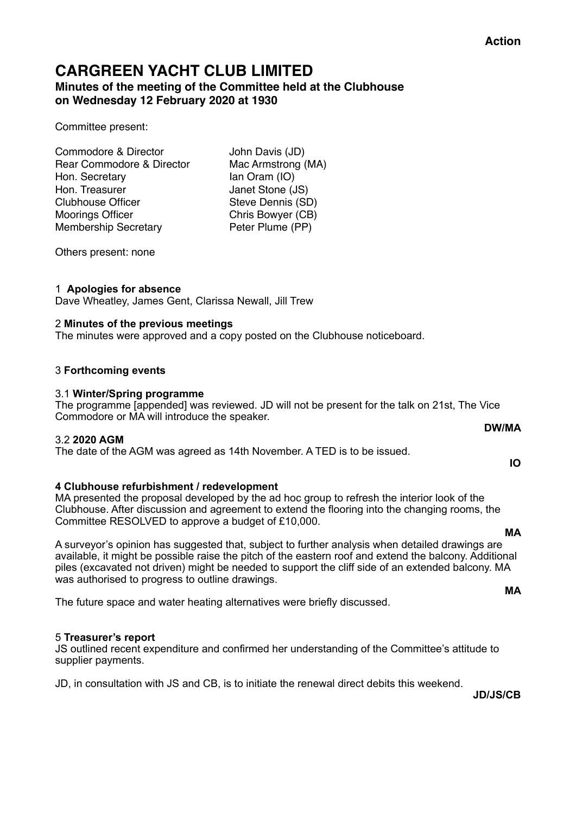# **CARGREEN YACHT CLUB LIMITED Minutes of the meeting of the Committee held at the Clubhouse**

**on Wednesday 12 February 2020 at 1930**

Committee present:

Commodore & Director John Davis (JD) Rear Commodore & Director Mac Armstrong (MA)<br>Hon. Secretary lan Oram (IO) Hon. Secretary Hon. Treasurer **Janet Stone (JS)** Clubhouse Officer Steve Dennis (SD) Moorings Officer **Chris Bowyer (CB)** Membership Secretary Peter Plume (PP)

Others present: none

### 1 **Apologies for absence**

Dave Wheatley, James Gent, Clarissa Newall, Jill Trew

### 2 **Minutes of the previous meetings**

The minutes were approved and a copy posted on the Clubhouse noticeboard.

# 3 **Forthcoming events**

### 3.1 **Winter/Spring programme**

The programme [appended] was reviewed. JD will not be present for the talk on 21st, The Vice Commodore or MA will introduce the speaker.

#### 3.2 **2020 AGM**

The date of the AGM was agreed as 14th November. A TED is to be issued.

# **4 Clubhouse refurbishment / redevelopment**

MA presented the proposal developed by the ad hoc group to refresh the interior look of the Clubhouse. After discussion and agreement to extend the flooring into the changing rooms, the Committee RESOLVED to approve a budget of £10,000.

A surveyor's opinion has suggested that, subject to further analysis when detailed drawings are available, it might be possible raise the pitch of the eastern roof and extend the balcony. Additional piles (excavated not driven) might be needed to support the cliff side of an extended balcony. MA was authorised to progress to outline drawings.

The future space and water heating alternatives were briefly discussed.

#### 5 **Treasurer's report**

JS outlined recent expenditure and confirmed her understanding of the Committee's attitude to supplier payments.

JD, in consultation with JS and CB, is to initiate the renewal direct debits this weekend.

**JD/JS/CB** 

# **DW/MA**

# **IO**

# **MA**

**MA**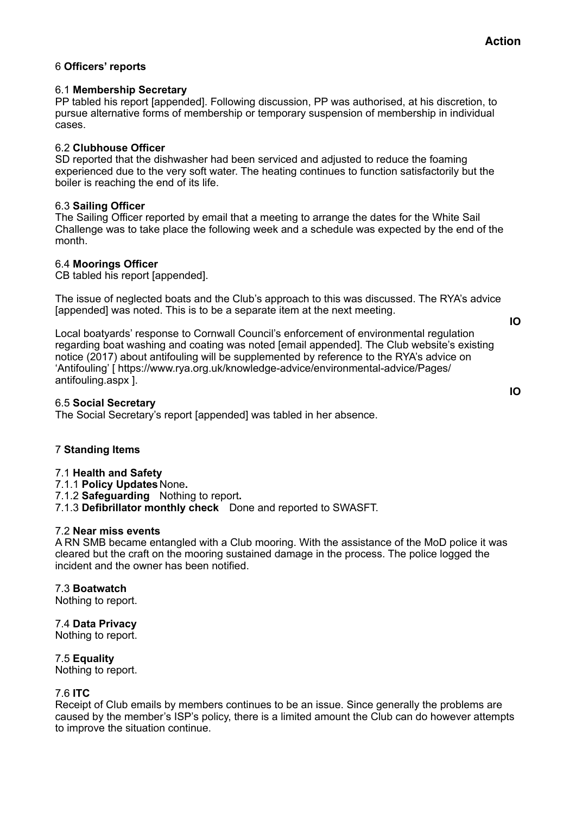# 6 **Officers' reports**

#### 6.1 **Membership Secretary**

PP tabled his report [appended]. Following discussion, PP was authorised, at his discretion, to pursue alternative forms of membership or temporary suspension of membership in individual cases.

#### 6.2 **Clubhouse Officer**

SD reported that the dishwasher had been serviced and adjusted to reduce the foaming experienced due to the very soft water. The heating continues to function satisfactorily but the boiler is reaching the end of its life.

#### 6.3 **Sailing Officer**

The Sailing Officer reported by email that a meeting to arrange the dates for the White Sail Challenge was to take place the following week and a schedule was expected by the end of the month.

### 6.4 **Moorings Officer**

CB tabled his report [appended].

The issue of neglected boats and the Club's approach to this was discussed. The RYA's advice [appended] was noted. This is to be a separate item at the next meeting.

**IO** 

**IO** 

Local boatyards' response to Cornwall Council's enforcement of environmental regulation regarding boat washing and coating was noted [email appended]. The Club website's existing notice (2017) about antifouling will be supplemented by reference to the RYA's advice on 'Antifouling' [ https://www.rya.org.uk/knowledge-advice/environmental-advice/Pages/ antifouling.aspx ].

### 6.5 **Social Secretary**

The Social Secretary's report [appended] was tabled in her absence.

#### 7 **Standing Items**

#### 7.1 **Health and Safety**

7.1.1 **Policy Updates** None**.** 

- 7.1.2 **Safeguarding** Nothing to report**.**
- 7.1.3 **Defibrillator monthly check** Done and reported to SWASFT.

#### 7.2 **Near miss events**

A RN SMB became entangled with a Club mooring. With the assistance of the MoD police it was cleared but the craft on the mooring sustained damage in the process. The police logged the incident and the owner has been notified.

# 7.3 **Boatwatch**

Nothing to report.

7.4 **Data Privacy**  Nothing to report.

7.5 **Equality** 

Nothing to report.

#### 7.6 **ITC**

Receipt of Club emails by members continues to be an issue. Since generally the problems are caused by the member's ISP's policy, there is a limited amount the Club can do however attempts to improve the situation continue.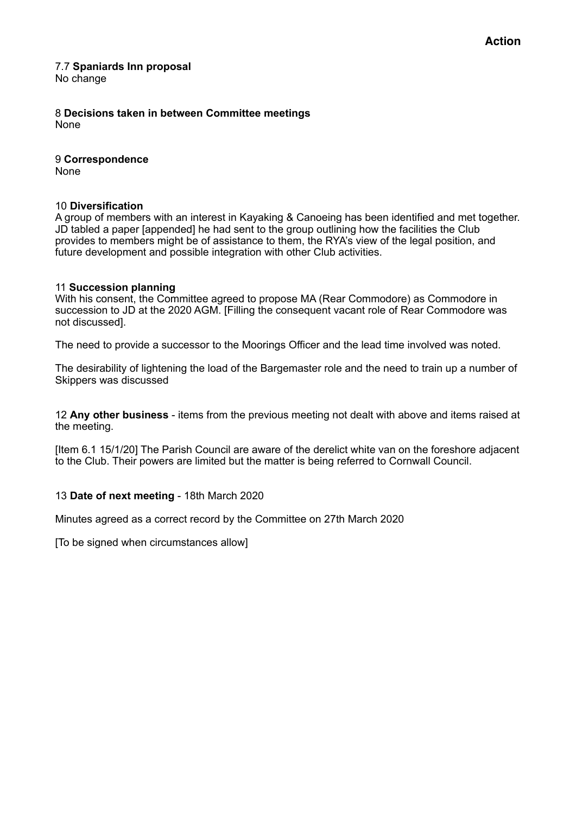#### 7.7 **Spaniards Inn proposal**  No change

8 **Decisions taken in between Committee meetings**  None

9 **Correspondence**  None

# 10 **Diversification**

A group of members with an interest in Kayaking & Canoeing has been identified and met together. JD tabled a paper [appended] he had sent to the group outlining how the facilities the Club provides to members might be of assistance to them, the RYA's view of the legal position, and future development and possible integration with other Club activities.

### 11 **Succession planning**

With his consent, the Committee agreed to propose MA (Rear Commodore) as Commodore in succession to JD at the 2020 AGM. [Filling the consequent vacant role of Rear Commodore was not discussed].

The need to provide a successor to the Moorings Officer and the lead time involved was noted.

The desirability of lightening the load of the Bargemaster role and the need to train up a number of Skippers was discussed

12 **Any other business** - items from the previous meeting not dealt with above and items raised at the meeting.

[Item 6.1 15/1/20] The Parish Council are aware of the derelict white van on the foreshore adjacent to the Club. Their powers are limited but the matter is being referred to Cornwall Council.

# 13 **Date of next meeting** - 18th March 2020

Minutes agreed as a correct record by the Committee on 27th March 2020

[To be signed when circumstances allow]